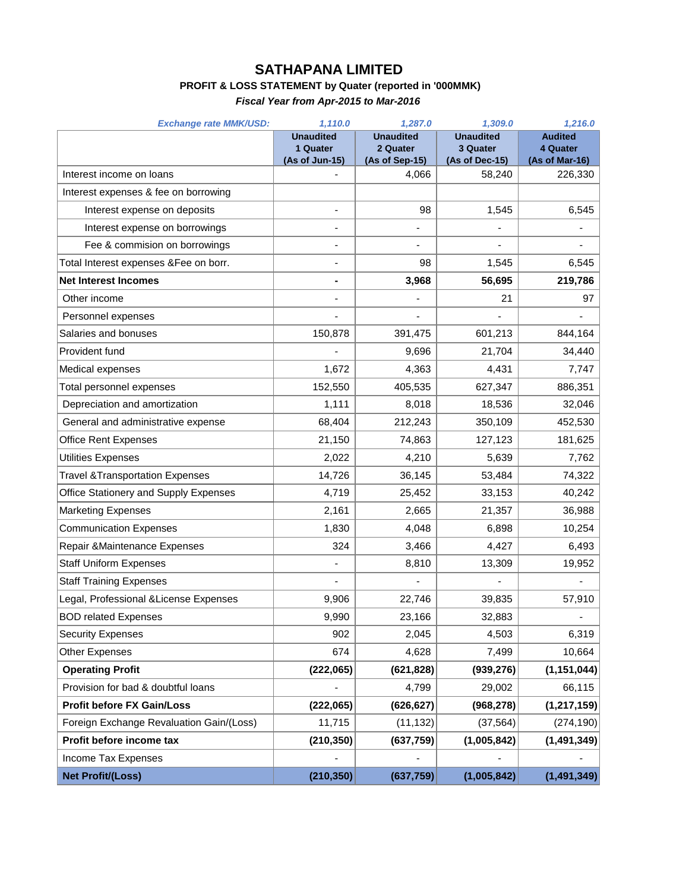## **SATHAPANA LIMITED**

## **PROFIT & LOSS STATEMENT by Quater (reported in '000MMK)**

*Fiscal Year from Apr-2015 to Mar-2016*

| <b>Exchange rate MMK/USD:</b>               | 1,110.0                      | 1,287.0                      | 1,309.0                      | 1,216.0                    |
|---------------------------------------------|------------------------------|------------------------------|------------------------------|----------------------------|
|                                             | <b>Unaudited</b><br>1 Quater | <b>Unaudited</b><br>2 Quater | <b>Unaudited</b><br>3 Quater | <b>Audited</b><br>4 Quater |
|                                             | (As of Jun-15)               | (As of Sep-15)               | (As of Dec-15)               | (As of Mar-16)             |
| Interest income on loans                    |                              | 4.066                        | 58,240                       | 226,330                    |
| Interest expenses & fee on borrowing        |                              |                              |                              |                            |
| Interest expense on deposits                |                              | 98                           | 1,545                        | 6,545                      |
| Interest expense on borrowings              | $\overline{a}$               | ٠                            |                              |                            |
| Fee & commision on borrowings               |                              |                              |                              |                            |
| Total Interest expenses & Fee on borr.      |                              | 98                           | 1,545                        | 6,545                      |
| <b>Net Interest Incomes</b>                 | -                            | 3,968                        | 56,695                       | 219,786                    |
| Other income                                |                              |                              | 21                           | 97                         |
| Personnel expenses                          |                              |                              |                              |                            |
| Salaries and bonuses                        | 150,878                      | 391,475                      | 601,213                      | 844,164                    |
| Provident fund                              |                              | 9,696                        | 21,704                       | 34,440                     |
| Medical expenses                            | 1,672                        | 4,363                        | 4,431                        | 7,747                      |
| Total personnel expenses                    | 152,550                      | 405,535                      | 627,347                      | 886,351                    |
| Depreciation and amortization               | 1,111                        | 8,018                        | 18,536                       | 32,046                     |
| General and administrative expense          | 68,404                       | 212,243                      | 350,109                      | 452,530                    |
| <b>Office Rent Expenses</b>                 | 21,150                       | 74,863                       | 127,123                      | 181,625                    |
| <b>Utilities Expenses</b>                   | 2,022                        | 4,210                        | 5,639                        | 7,762                      |
| <b>Travel &amp; Transportation Expenses</b> | 14,726                       | 36,145                       | 53,484                       | 74,322                     |
| Office Stationery and Supply Expenses       | 4,719                        | 25,452                       | 33,153                       | 40,242                     |
| <b>Marketing Expenses</b>                   | 2,161                        | 2,665                        | 21,357                       | 36,988                     |
| <b>Communication Expenses</b>               | 1,830                        | 4,048                        | 6,898                        | 10,254                     |
| Repair & Maintenance Expenses               | 324                          | 3,466                        | 4,427                        | 6,493                      |
| <b>Staff Uniform Expenses</b>               | -                            | 8,810                        | 13,309                       | 19,952                     |
| <b>Staff Training Expenses</b>              |                              |                              |                              |                            |
| Legal, Professional & License Expenses      | 9,906                        | 22,746                       | 39,835                       | 57,910                     |
| <b>BOD related Expenses</b>                 | 9,990                        | 23,166                       | 32,883                       |                            |
| <b>Security Expenses</b>                    | 902                          | 2,045                        | 4,503                        | 6,319                      |
| Other Expenses                              | 674                          | 4,628                        | 7,499                        | 10,664                     |
| <b>Operating Profit</b>                     | (222,065)                    | (621, 828)                   | (939, 276)                   | (1, 151, 044)              |
| Provision for bad & doubtful loans          |                              | 4,799                        | 29,002                       | 66,115                     |
| <b>Profit before FX Gain/Loss</b>           | (222,065)                    | (626, 627)                   | (968, 278)                   | (1, 217, 159)              |
| Foreign Exchange Revaluation Gain/(Loss)    | 11,715                       | (11, 132)                    | (37, 564)                    | (274, 190)                 |
| Profit before income tax                    | (210, 350)                   | (637, 759)                   | (1,005,842)                  | (1, 491, 349)              |
| Income Tax Expenses                         |                              |                              |                              |                            |
| <b>Net Profit/(Loss)</b>                    | (210, 350)                   | (637, 759)                   | (1,005,842)                  | (1, 491, 349)              |